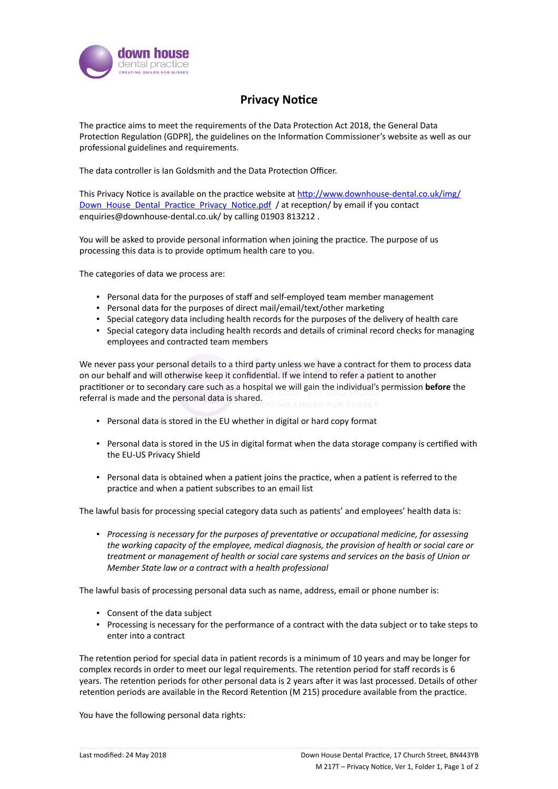

## **Privacy Notice**

The practice aims to meet the requirements of the Data Protection Act 2018, the General Data Protection Regulation (GDPR], the guidelines on the Information Commissioner's website as well as our professional guidelines and requirements.

The data controller is Ian Goldsmith and the Data Protection Officer.

This Privacy Notice is available on the practice website at [http://www.downhouse-dental.co.uk/img/](http://www.downhouse-dental.co.uk/img/Down_House_Dental_Practice_Privacy_Notice.pdf) [Down\\_House\\_Dental\\_Practice\\_Privacy\\_Notice.pdf](http://www.downhouse-dental.co.uk/img/Down_House_Dental_Practice_Privacy_Notice.pdf) / at reception/ by email if you contact enquiries@downhouse-dental.co.uk/ by calling 01903 813212 .

You will be asked to provide personal information when joining the practice. The purpose of us processing this data is to provide optimum health care to you.

The categories of data we process are:

- Personal data for the purposes of staff and self-employed team member management
- Personal data for the purposes of direct mail/email/text/other marketing
- Special category data including health records for the purposes of the delivery of health care
- Special category data including health records and details of criminal record checks for managing employees and contracted team members

We never pass your personal details to a third party unless we have a contract for them to process data on our behalf and will otherwise keep it confidential. If we intend to refer a patient to another practitioner or to secondary care such as a hospital we will gain the individual's permission **before** the referral is made and the personal data is shared.

- Personal data is stored in the EU whether in digital or hard copy format
- Personal data is stored in the US in digital format when the data storage company is certified with the EU-US Privacy Shield
- Personal data is obtained when a patient joins the practice, when a patient is referred to the practice and when a patient subscribes to an email list

The lawful basis for processing special category data such as patients' and employees' health data is:

▪ *Processing is necessary for the purposes of preventative or occupational medicine, for assessing the working capacity of the employee, medical diagnosis, the provision of health or social care or treatment or management of health or social care systems and services on the basis of Union or Member State law or a contract with a health professional*

The lawful basis of processing personal data such as name, address, email or phone number is:

- Consent of the data subject
- Processing is necessary for the performance of a contract with the data subject or to take steps to enter into a contract

The retention period for special data in patient records is a minimum of 10 years and may be longer for complex records in order to meet our legal requirements. The retention period for staff records is 6 years. The retention periods for other personal data is 2 years after it was last processed. Details of other retention periods are available in the Record Retention (M 215) procedure available from the practice.

You have the following personal data rights: